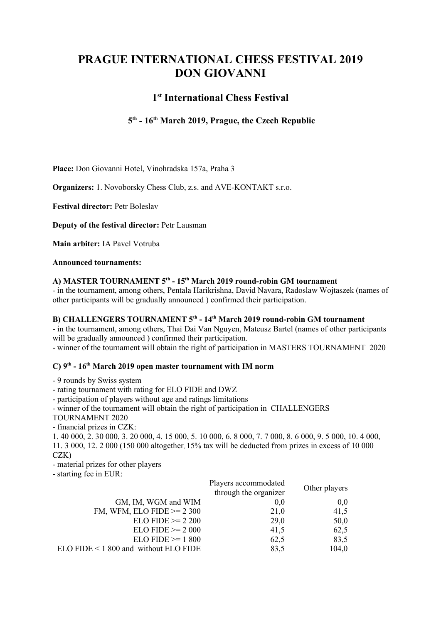# PRAGUE INTERNATIONAL CHESS FESTIVAL 2019 DON GIOVANNI

## 1 st International Chess Festival

### 5<sup>th</sup> - 16<sup>th</sup> March 2019, Prague, the Czech Republic

Place: Don Giovanni Hotel, Vinohradska 157a, Praha 3

Organizers: 1. Novoborsky Chess Club, z.s. and AVE-KONTAKT s.r.o.

Festival director: Petr Boleslav

Deputy of the festival director: Petr Lausman

Main arbiter: IA Pavel Votruba

#### Announced tournaments:

#### A) MASTER TOURNAMENT 5<sup>th</sup> - 15<sup>th</sup> March 2019 round-robin GM tournament

- in the tournament, among others, Pentala Harikrishna, David Navara, Radoslaw Wojtaszek (names of other participants will be gradually announced ) confirmed their participation.

#### B) CHALLENGERS TOURNAMENT 5<sup>th</sup> - 14<sup>th</sup> March 2019 round-robin GM tournament

- in the tournament, among others, Thai Dai Van Nguyen, Mateusz Bartel (names of other participants will be gradually announced ) confirmed their participation.

- winner of the tournament will obtain the right of participation in MASTERS TOURNAMENT 2020

#### $C$ )  $9<sup>th</sup>$  - 16<sup>th</sup> March 2019 open master tournament with IM norm

- 9 rounds by Swiss system

- rating tournament with rating for ELO FIDE and DWZ

- participation of players without age and ratings limitations

- winner of the tournament will obtain the right of participation in CHALLENGERS

TOURNAMENT 2020

- financial prizes in CZK:

1. 40 000, 2. 30 000, 3. 20 000, 4. 15 000, 5. 10 000, 6. 8 000, 7. 7 000, 8. 6 000, 9. 5 000, 10. 4 000, 11. 3 000, 12. 2 000 (150 000 altogether, 15% tax will be deducted from prizes in excess of 10 000 CZK)

- material prizes for other players

- starting fee in EUR:

|                                          | Players accommodated<br>through the organizer | Other players |
|------------------------------------------|-----------------------------------------------|---------------|
| GM, IM, WGM and WIM                      | 0,0                                           | 0.0           |
| FM, WFM, ELO FIDE $\ge$ 2 300            | 21,0                                          | 41,5          |
| $ELO FIDE \ge 2200$                      | 29,0                                          | 50,0          |
| $ELO FIDE \ge 2000$                      | 41,5                                          | 62,5          |
| $ELO FIDE \ge 1800$                      | 62,5                                          | 83,5          |
| $ELO FIDE < 1800$ and without $ELO FIDE$ | 83,5                                          | 104,0         |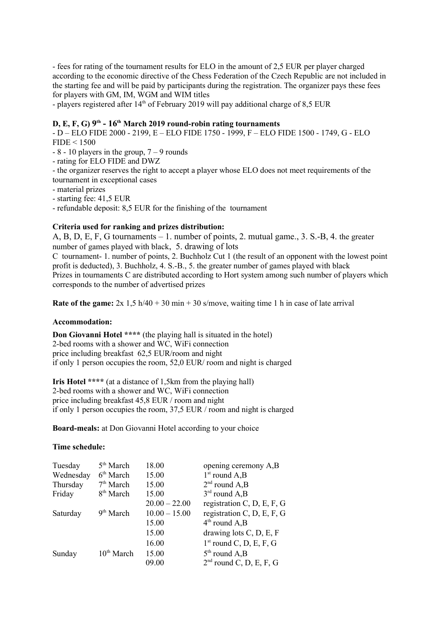- fees for rating of the tournament results for ELO in the amount of 2,5 EUR per player charged according to the economic directive of the Chess Federation of the Czech Republic are not included in the starting fee and will be paid by participants during the registration. The organizer pays these fees for players with GM, IM, WGM and WIM titles

- players registered after 14<sup>th</sup> of February 2019 will pay additional charge of 8,5 EUR

#### D, E, F, G)  $9<sup>th</sup>$  -  $16<sup>th</sup>$  March 2019 round-robin rating tournaments

- D – ELO FIDE 2000 - 2199, E – ELO FIDE 1750 - 1999, F – ELO FIDE 1500 - 1749, G - ELO FIDE < 1500

- $-8 10$  players in the group,  $7 9$  rounds
- rating for ELO FIDE and DWZ
- the organizer reserves the right to accept a player whose ELO does not meet requirements of the tournament in exceptional cases
- material prizes
- starting fee: 41,5 EUR
- refundable deposit: 8,5 EUR for the finishing of the tournament

#### Criteria used for ranking and prizes distribution:

A, B, D, E, F, G tournaments – 1. number of points, 2. mutual game., 3. S.-B, 4. the greater number of games played with black, 5. drawing of lots

C tournament- 1. number of points, 2. Buchholz Cut 1 (the result of an opponent with the lowest point profit is deducted), 3. Buchholz, 4. S.-B., 5. the greater number of games played with black Prizes in tournaments C are distributed according to Hort system among such number of players which corresponds to the number of advertised prizes

Rate of the game:  $2x \frac{1}{5} h/40 + 30 m in + 30 s/move$ , waiting time 1 h in case of late arrival

#### Accommodation:

Don Giovanni Hotel \*\*\*\* (the playing hall is situated in the hotel) 2-bed rooms with a shower and WC, WiFi connection price including breakfast 62,5 EUR/room and night if only 1 person occupies the room, 52,0 EUR/ room and night is charged

Iris Hotel \*\*\*\* (at a distance of 1,5km from the playing hall) 2-bed rooms with a shower and WC, WiFi connection price including breakfast 45,8 EUR / room and night if only 1 person occupies the room, 37,5 EUR / room and night is charged

Board-meals: at Don Giovanni Hotel according to your choice

#### Time schedule:

| Tuesday   | 5 <sup>th</sup> March  | 18.00           | opening ceremony A,B       |
|-----------|------------------------|-----------------|----------------------------|
| Wednesday | 6 <sup>th</sup> March  | 15.00           | $1st$ round A,B            |
| Thursday  | 7 <sup>th</sup> March  | 15.00           | $2nd$ round A,B            |
| Friday    | 8 <sup>th</sup> March  | 15.00           | $3rd$ round A,B            |
|           |                        | $20.00 - 22.00$ | registration C, D, E, F, G |
| Saturday  | 9 <sup>th</sup> March  | $10.00 - 15.00$ | registration C, D, E, F, G |
|           |                        | 15.00           | $4th$ round A,B            |
|           |                        | 15.00           | drawing lots C, D, E, F    |
|           |                        | 16.00           | $1st$ round C, D, E, F, G  |
| Sunday    | 10 <sup>th</sup> March | 15.00           | $5th$ round A,B            |
|           |                        | 09.00           | $2nd$ round C, D, E, F, G  |